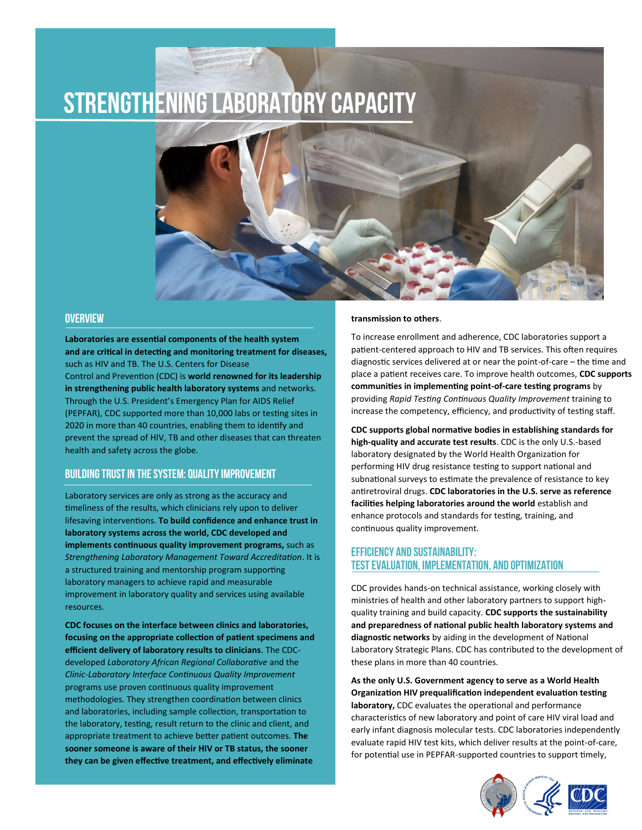# **STRENGTHENING LABORATORY CAPACITY**

### **OVERVIEW**

**Laboratories are essential components of the health system and are critical in detecting and monitoring treatment for diseases,**  such as HIV and TB. The U.S. Centers for Disease Control and Prevention (CDC) is **world renowned for its leadership in strengthening public health laboratory systems** and networks. Through the U.S. President's Emergency Plan for AIDS Relief (PEPFAR), CDC supported more than 10,000 labs or testing sites in 2020 in more than 40 countries, enabling them to identify and prevent the spread of HIV, TB and other diseases that can threaten health and safety across the globe.

## **BUILDING TRUST IN THE SYSTEM: QUALITY IMPROVEMENT**

Laboratory services are only as strong as the accuracy and timeliness of the results, which clinicians rely upon to deliver lifesaving interventions. **To build confidence and enhance trust in laboratory systems across the world, CDC developed and implements continuous quality improvement programs,** such as *Strengthening Laboratory Management Toward Accreditation*. It is a structured training and mentorship program supporting laboratory managers to achieve rapid and measurable improvement in laboratory quality and services using available resources.

**CDC focuses on the interface between clinics and laboratories, focusing on the appropriate collection of patient specimens and efficient delivery of laboratory results to clinicians**. The CDCdeveloped *Laboratory African Regional Collaborative* and the *Clinic-Laboratory Interface Continuous Quality Improvement*  programs use proven continuous quality improvement methodologies. They strengthen coordination between clinics and laboratories, including sample collection, transportation to the laboratory, testing, result return to the clinic and client, and appropriate treatment to achieve better patient outcomes. **The sooner someone is aware of their HIV or TB status, the sooner they can be given effective treatment, and effectively eliminate** 

#### **transmission to others**.

To increase enrollment and adherence, CDC laboratories support a patient-centered approach to HIV and TB services. This often requires diagnostic services delivered at or near the point-of-care – the time and place a patient receives care. To improve health outcomes, **CDC supports communities in implementing point-of-care testing programs** by providing *Rapid Testing Continuous Quality Improvement* training to increase the competency, efficiency, and productivity of testing staff.

**CDC supports global normative bodies in establishing standards for high-quality and accurate test results**. CDC is the only U.S.-based laboratory designated by the World Health Organization for performing HIV drug resistance testing to support national and subnational surveys to estimate the prevalence of resistance to key antiretroviral drugs. **CDC laboratories in the U.S. serve as reference facilities helping laboratories around the world** establish and enhance protocols and standards for testing, training, and continuous quality improvement.

## **EFFICIENCY AND SUSTAINABILITY: TEST EVALUATION, IMPLEMENTATION, AND optimization**

CDC provides hands-on technical assistance, working closely with ministries of health and other laboratory partners to support highquality training and build capacity. **CDC supports the sustainability and preparedness of national public health laboratory systems and diagnostic networks** by aiding in the development of National Laboratory Strategic Plans. CDC has contributed to the development of these plans in more than 40 countries.

**As the only U.S. Government agency to serve as a World Health Organization HIV prequalification independent evaluation testing laboratory,** CDC evaluates the operational and performance characteristics of new laboratory and point of care HIV viral load and early infant diagnosis molecular tests. CDC laboratories independently evaluate rapid HIV test kits, which deliver results at the point-of-care, for potential use in PEPFAR-supported countries to support timely,